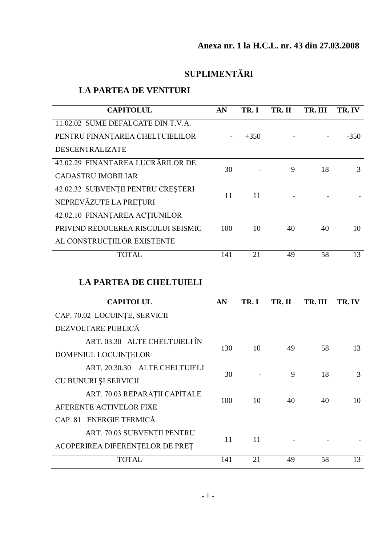## **SUPLIMENTĂRI**

## **LA PARTEA DE VENITURI**

| <b>CAPITOLUL</b>                   | AN  | TR.I   | TR. II | TR. III | TR. IV |
|------------------------------------|-----|--------|--------|---------|--------|
| 11.02.02 SUME DEFALCATE DIN T.V.A. |     |        |        |         |        |
| PENTRU FINANȚAREA CHELTUIELILOR    |     | $+350$ |        |         | $-350$ |
| <b>DESCENTRALIZATE</b>             |     |        |        |         |        |
| 42.02.29 FINANȚAREA LUCRĂRILOR DE  | 30  |        | 9      | 18      | 3      |
| <b>CADASTRU IMOBILIAR</b>          |     |        |        |         |        |
| 42.02.32 SUBVENȚII PENTRU CREȘTERI | 11  |        |        |         |        |
| NEPREVĂZUTE LA PREȚURI             |     | 11     |        |         |        |
| 42.02.10 FINANTAREA ACTIUNILOR     |     |        |        |         |        |
| PRIVIND REDUCEREA RISCULUI SEISMIC | 100 | 10     | 40     | 40      | 10     |
| AL CONSTRUCTIILOR EXISTENTE        |     |        |        |         |        |
| <b>TOTAL</b>                       | 141 | 21     | 49     | 58      | 13     |

## **LA PARTEA DE CHELTUIELI**

| <b>CAPITOLUL</b>                |     | TR.I | TR. II | TR. III | TR. IV |
|---------------------------------|-----|------|--------|---------|--------|
| CAP. 70.02 LOCUINTE, SERVICII   |     |      |        |         |        |
| DEZVOLTARE PUBLICĂ              |     |      |        |         |        |
| ART. 03.30 ALTE CHELTUIELI ÎN   |     |      |        |         | 13     |
| DOMENIUL LOCUINTELOR            | 130 | 10   | 49     | 58      |        |
| ART. 20.30.30 ALTE CHELTUIELI   |     |      |        |         |        |
| CU BUNURI ȘI SERVICII           | 30  |      | 9      | 18      | 3      |
| ART. 70.03 REPARAȚII CAPITALE   | 100 | 10   | 40     | 40      | 10     |
| AFERENTE ACTIVELOR FIXE         |     |      |        |         |        |
| CAP. 81 ENERGIE TERMICĂ         |     |      |        |         |        |
| ART. 70.03 SUBVENȚII PENTRU     |     |      |        |         |        |
| ACOPERIREA DIFERENȚELOR DE PREȚ | 11  | 11   |        |         |        |
| <b>TOTAL</b>                    | 141 | 21   | 49     | 58      | 13     |